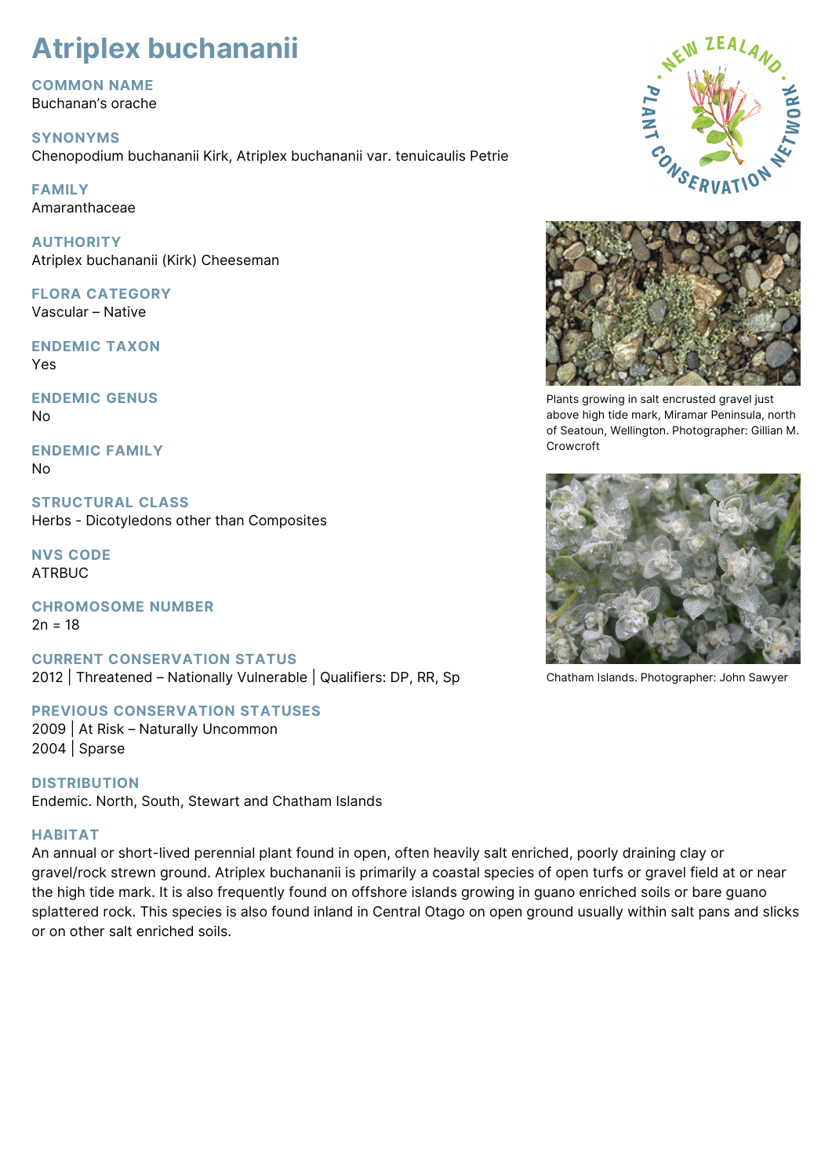# **Atriplex buchananii**

**COMMON NAME** Buchanan's orache

**SYNONYMS** Chenopodium buchananii Kirk, Atriplex buchananii var. tenuicaulis Petrie

**FAMILY** Amaranthaceae

**AUTHORITY** Atriplex buchananii (Kirk) Cheeseman

**FLORA CATEGORY** Vascular – Native

**ENDEMIC TAXON** Yes

**ENDEMIC GENUS** No

**ENDEMIC FAMILY** No

**STRUCTURAL CLASS** Herbs - Dicotyledons other than Composites

**NVS CODE** ATRBUC

**CHROMOSOME NUMBER**  $2n = 18$ 

**CURRENT CONSERVATION STATUS** 2012 | Threatened – Nationally Vulnerable | Qualifiers: DP, RR, Sp

**PREVIOUS CONSERVATION STATUSES** 2009 | At Risk – Naturally Uncommon

2004 | Sparse

**DISTRIBUTION** Endemic. North, South, Stewart and Chatham Islands

# **HABITAT**

An annual or short-lived perennial plant found in open, often heavily salt enriched, poorly draining clay or gravel/rock strewn ground. Atriplex buchananii is primarily a coastal species of open turfs or gravel field at or near the high tide mark. It is also frequently found on offshore islands growing in guano enriched soils or bare guano splattered rock. This species is also found inland in Central Otago on open ground usually within salt pans and slicks or on other salt enriched soils.





Plants growing in salt encrusted gravel just above high tide mark, Miramar Peninsula, north of Seatoun, Wellington. Photographer: Gillian M. Crowcroft



Chatham Islands. Photographer: John Sawyer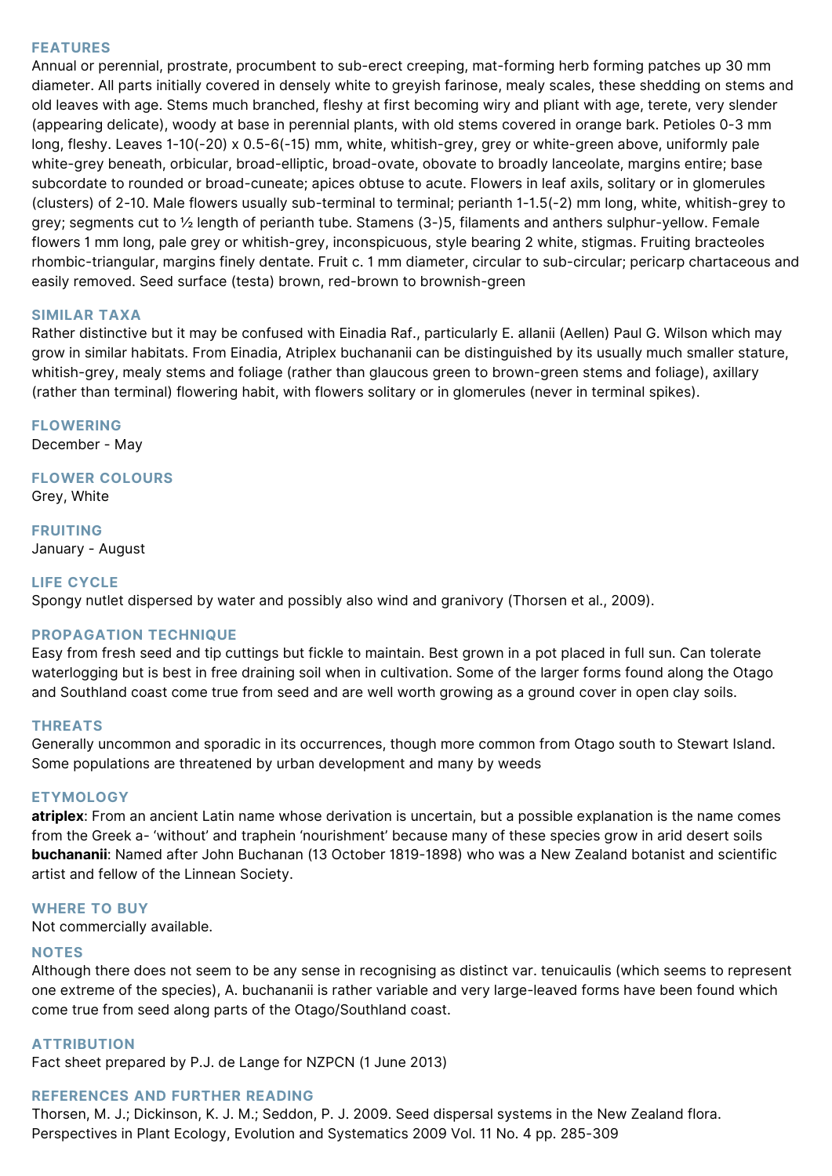## **FEATURES**

Annual or perennial, prostrate, procumbent to sub-erect creeping, mat-forming herb forming patches up 30 mm diameter. All parts initially covered in densely white to greyish farinose, mealy scales, these shedding on stems and old leaves with age. Stems much branched, fleshy at first becoming wiry and pliant with age, terete, very slender (appearing delicate), woody at base in perennial plants, with old stems covered in orange bark. Petioles 0-3 mm long, fleshy. Leaves 1-10(-20) x 0.5-6(-15) mm, white, whitish-grey, grey or white-green above, uniformly pale white-grey beneath, orbicular, broad-elliptic, broad-ovate, obovate to broadly lanceolate, margins entire; base subcordate to rounded or broad-cuneate; apices obtuse to acute. Flowers in leaf axils, solitary or in glomerules (clusters) of 2-10. Male flowers usually sub-terminal to terminal; perianth 1-1.5(-2) mm long, white, whitish-grey to grey; segments cut to ½ length of perianth tube. Stamens (3-)5, filaments and anthers sulphur-yellow. Female flowers 1 mm long, pale grey or whitish-grey, inconspicuous, style bearing 2 white, stigmas. Fruiting bracteoles rhombic-triangular, margins finely dentate. Fruit c. 1 mm diameter, circular to sub-circular; pericarp chartaceous and easily removed. Seed surface (testa) brown, red-brown to brownish-green

## **SIMILAR TAXA**

Rather distinctive but it may be confused with Einadia Raf., particularly E. allanii (Aellen) Paul G. Wilson which may grow in similar habitats. From Einadia, Atriplex buchananii can be distinguished by its usually much smaller stature, whitish-grey, mealy stems and foliage (rather than glaucous green to brown-green stems and foliage), axillary (rather than terminal) flowering habit, with flowers solitary or in glomerules (never in terminal spikes).

**FLOWERING**

December - May

**FLOWER COLOURS** Grey, White

**FRUITING**

January - August

## **LIFE CYCLE**

Spongy nutlet dispersed by water and possibly also wind and granivory (Thorsen et al., 2009).

## **PROPAGATION TECHNIQUE**

Easy from fresh seed and tip cuttings but fickle to maintain. Best grown in a pot placed in full sun. Can tolerate waterlogging but is best in free draining soil when in cultivation. Some of the larger forms found along the Otago and Southland coast come true from seed and are well worth growing as a ground cover in open clay soils.

#### **THREATS**

Generally uncommon and sporadic in its occurrences, though more common from Otago south to Stewart Island. Some populations are threatened by urban development and many by weeds

#### **ETYMOLOGY**

**atriplex**: From an ancient Latin name whose derivation is uncertain, but a possible explanation is the name comes from the Greek a- 'without' and traphein 'nourishment' because many of these species grow in arid desert soils **buchananii**: Named after John Buchanan (13 October 1819-1898) who was a New Zealand botanist and scientific artist and fellow of the Linnean Society.

## **WHERE TO BUY**

Not commercially available.

#### **NOTES**

Although there does not seem to be any sense in recognising as distinct var. tenuicaulis (which seems to represent one extreme of the species), A. buchananii is rather variable and very large-leaved forms have been found which come true from seed along parts of the Otago/Southland coast.

#### **ATTRIBUTION**

Fact sheet prepared by P.J. de Lange for NZPCN (1 June 2013)

# **REFERENCES AND FURTHER READING**

Thorsen, M. J.; Dickinson, K. J. M.; Seddon, P. J. 2009. Seed dispersal systems in the New Zealand flora. Perspectives in Plant Ecology, Evolution and Systematics 2009 Vol. 11 No. 4 pp. 285-309